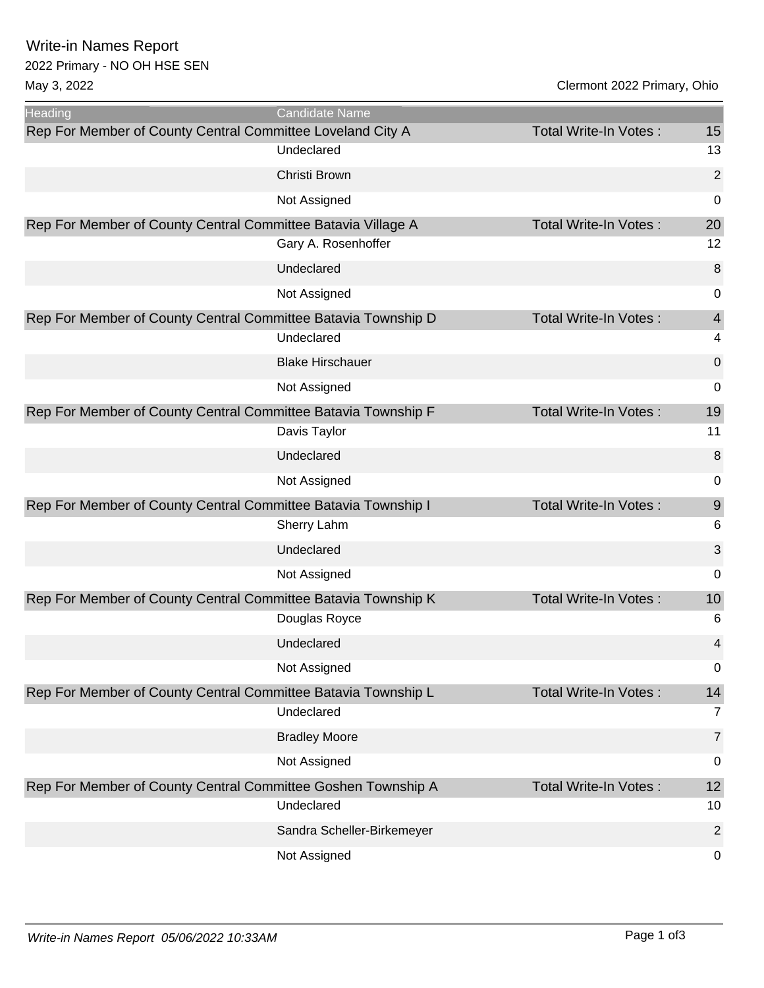Write-in Names Report

## 2022 Primary - NO OH HSE SEN

May 3, 2022 Clermont 2022 Primary, Ohio

| <b>Heading</b>                                                | <b>Candidate Name</b>      |                              |                |
|---------------------------------------------------------------|----------------------------|------------------------------|----------------|
| Rep For Member of County Central Committee Loveland City A    |                            | <b>Total Write-In Votes:</b> | 15             |
|                                                               | Undeclared                 |                              | 13             |
|                                                               | Christi Brown              |                              | 2              |
|                                                               | Not Assigned               |                              | 0              |
| Rep For Member of County Central Committee Batavia Village A  |                            | <b>Total Write-In Votes:</b> | 20             |
|                                                               | Gary A. Rosenhoffer        |                              | 12             |
|                                                               | Undeclared                 |                              | 8              |
|                                                               | Not Assigned               |                              | 0              |
| Rep For Member of County Central Committee Batavia Township D |                            | Total Write-In Votes:        | $\overline{4}$ |
|                                                               | Undeclared                 |                              | 4              |
|                                                               | <b>Blake Hirschauer</b>    |                              | 0              |
|                                                               | Not Assigned               |                              | 0              |
| Rep For Member of County Central Committee Batavia Township F |                            | Total Write-In Votes:        | 19             |
|                                                               | Davis Taylor               |                              | 11             |
|                                                               | Undeclared                 |                              | 8              |
|                                                               | Not Assigned               |                              | 0              |
| Rep For Member of County Central Committee Batavia Township I |                            | <b>Total Write-In Votes:</b> | $9$            |
|                                                               | Sherry Lahm                |                              | 6              |
|                                                               | Undeclared                 |                              | $\mathfrak{B}$ |
|                                                               | Not Assigned               |                              | 0              |
| Rep For Member of County Central Committee Batavia Township K |                            | <b>Total Write-In Votes:</b> | 10             |
|                                                               | Douglas Royce              |                              | 6              |
|                                                               | Undeclared                 |                              | 4              |
|                                                               | Not Assigned               |                              | 0              |
| Rep For Member of County Central Committee Batavia Township L |                            | Total Write-In Votes:        | 14             |
|                                                               | Undeclared                 |                              | 7              |
|                                                               | <b>Bradley Moore</b>       |                              | $\overline{7}$ |
|                                                               | Not Assigned               |                              | 0              |
| Rep For Member of County Central Committee Goshen Township A  |                            | <b>Total Write-In Votes:</b> | 12             |
|                                                               | Undeclared                 |                              | 10             |
|                                                               | Sandra Scheller-Birkemeyer |                              | 2              |
|                                                               | Not Assigned               |                              | 0              |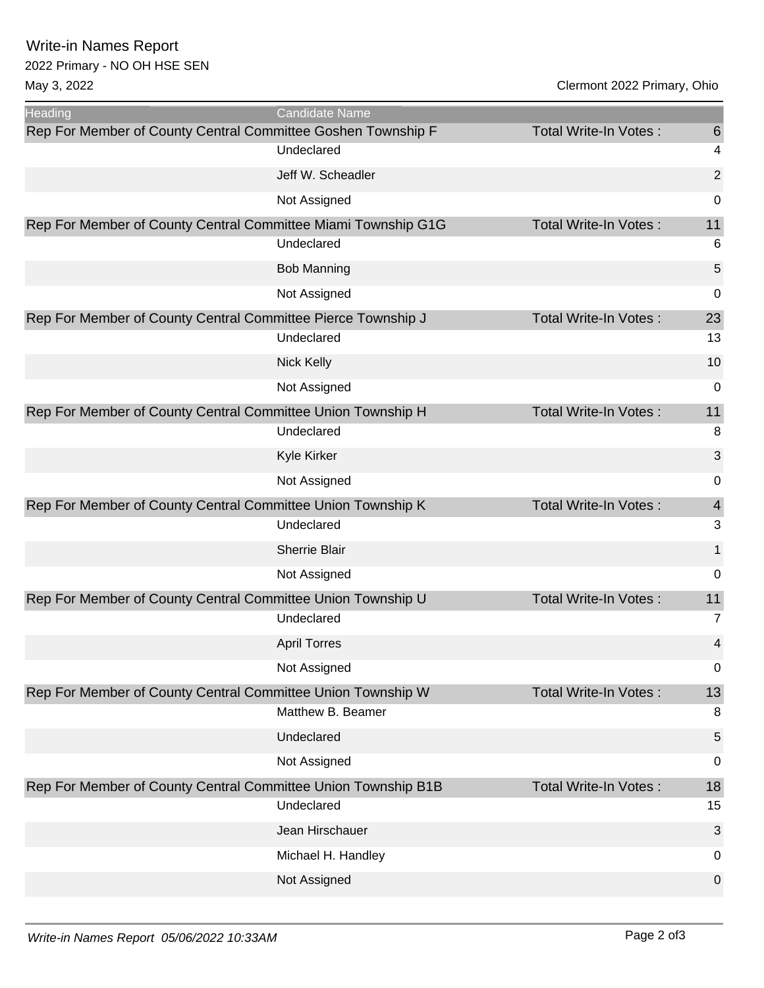Write-in Names Report

## 2022 Primary - NO OH HSE SEN

May 3, 2022 Clermont 2022 Primary, Ohio

| <b>Heading</b>                                                | Candidate Name       |                              |                 |
|---------------------------------------------------------------|----------------------|------------------------------|-----------------|
| Rep For Member of County Central Committee Goshen Township F  |                      | <b>Total Write-In Votes:</b> | $6\phantom{1}6$ |
|                                                               | Undeclared           |                              | 4               |
|                                                               | Jeff W. Scheadler    |                              | $\overline{2}$  |
|                                                               | Not Assigned         |                              | 0               |
| Rep For Member of County Central Committee Miami Township G1G |                      | <b>Total Write-In Votes:</b> | 11              |
|                                                               | Undeclared           |                              | 6               |
|                                                               | <b>Bob Manning</b>   |                              | 5               |
|                                                               | Not Assigned         |                              | 0               |
| Rep For Member of County Central Committee Pierce Township J  |                      | Total Write-In Votes:        | 23              |
|                                                               | Undeclared           |                              | 13              |
|                                                               | <b>Nick Kelly</b>    |                              | 10              |
|                                                               | Not Assigned         |                              | 0               |
| Rep For Member of County Central Committee Union Township H   |                      | Total Write-In Votes:        | 11              |
|                                                               | Undeclared           |                              | 8               |
|                                                               | Kyle Kirker          |                              | 3               |
|                                                               | Not Assigned         |                              | 0               |
| Rep For Member of County Central Committee Union Township K   |                      | <b>Total Write-In Votes:</b> | $\overline{4}$  |
|                                                               | Undeclared           |                              | 3               |
|                                                               | <b>Sherrie Blair</b> |                              | 1               |
|                                                               | Not Assigned         |                              | 0               |
| Rep For Member of County Central Committee Union Township U   |                      | <b>Total Write-In Votes:</b> | 11              |
|                                                               | Undeclared           |                              | 7               |
|                                                               | <b>April Torres</b>  |                              | 4               |
|                                                               | Not Assigned         |                              | $\mathbf 0$     |
| Rep For Member of County Central Committee Union Township W   |                      | Total Write-In Votes:        | 13              |
|                                                               | Matthew B. Beamer    |                              | 8               |
|                                                               | Undeclared           |                              | 5               |
|                                                               | Not Assigned         |                              | 0               |
| Rep For Member of County Central Committee Union Township B1B |                      | <b>Total Write-In Votes:</b> | 18              |
|                                                               | Undeclared           |                              | 15              |
|                                                               | Jean Hirschauer      |                              | 3               |
|                                                               | Michael H. Handley   |                              | 0               |
|                                                               | Not Assigned         |                              | 0               |